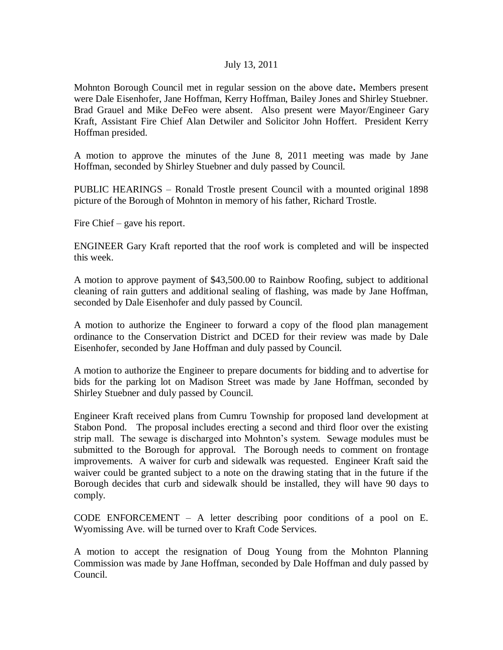## July 13, 2011

Mohnton Borough Council met in regular session on the above date**.** Members present were Dale Eisenhofer, Jane Hoffman, Kerry Hoffman, Bailey Jones and Shirley Stuebner. Brad Grauel and Mike DeFeo were absent. Also present were Mayor/Engineer Gary Kraft, Assistant Fire Chief Alan Detwiler and Solicitor John Hoffert. President Kerry Hoffman presided.

A motion to approve the minutes of the June 8, 2011 meeting was made by Jane Hoffman, seconded by Shirley Stuebner and duly passed by Council.

PUBLIC HEARINGS – Ronald Trostle present Council with a mounted original 1898 picture of the Borough of Mohnton in memory of his father, Richard Trostle.

Fire Chief – gave his report.

ENGINEER Gary Kraft reported that the roof work is completed and will be inspected this week.

A motion to approve payment of \$43,500.00 to Rainbow Roofing, subject to additional cleaning of rain gutters and additional sealing of flashing, was made by Jane Hoffman, seconded by Dale Eisenhofer and duly passed by Council.

A motion to authorize the Engineer to forward a copy of the flood plan management ordinance to the Conservation District and DCED for their review was made by Dale Eisenhofer, seconded by Jane Hoffman and duly passed by Council.

A motion to authorize the Engineer to prepare documents for bidding and to advertise for bids for the parking lot on Madison Street was made by Jane Hoffman, seconded by Shirley Stuebner and duly passed by Council.

Engineer Kraft received plans from Cumru Township for proposed land development at Stabon Pond. The proposal includes erecting a second and third floor over the existing strip mall. The sewage is discharged into Mohnton's system. Sewage modules must be submitted to the Borough for approval. The Borough needs to comment on frontage improvements. A waiver for curb and sidewalk was requested. Engineer Kraft said the waiver could be granted subject to a note on the drawing stating that in the future if the Borough decides that curb and sidewalk should be installed, they will have 90 days to comply.

CODE ENFORCEMENT – A letter describing poor conditions of a pool on E. Wyomissing Ave. will be turned over to Kraft Code Services.

A motion to accept the resignation of Doug Young from the Mohnton Planning Commission was made by Jane Hoffman, seconded by Dale Hoffman and duly passed by Council.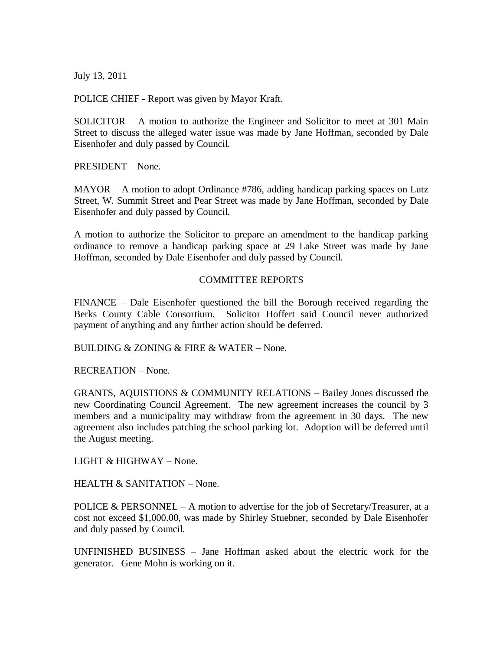July 13, 2011

POLICE CHIEF - Report was given by Mayor Kraft.

SOLICITOR – A motion to authorize the Engineer and Solicitor to meet at 301 Main Street to discuss the alleged water issue was made by Jane Hoffman, seconded by Dale Eisenhofer and duly passed by Council.

PRESIDENT – None.

MAYOR – A motion to adopt Ordinance #786, adding handicap parking spaces on Lutz Street, W. Summit Street and Pear Street was made by Jane Hoffman, seconded by Dale Eisenhofer and duly passed by Council.

A motion to authorize the Solicitor to prepare an amendment to the handicap parking ordinance to remove a handicap parking space at 29 Lake Street was made by Jane Hoffman, seconded by Dale Eisenhofer and duly passed by Council.

## COMMITTEE REPORTS

FINANCE – Dale Eisenhofer questioned the bill the Borough received regarding the Berks County Cable Consortium. Solicitor Hoffert said Council never authorized payment of anything and any further action should be deferred.

BUILDING & ZONING & FIRE & WATER – None.

RECREATION – None.

GRANTS, AQUISTIONS & COMMUNITY RELATIONS – Bailey Jones discussed the new Coordinating Council Agreement. The new agreement increases the council by 3 members and a municipality may withdraw from the agreement in 30 days. The new agreement also includes patching the school parking lot. Adoption will be deferred until the August meeting.

LIGHT & HIGHWAY – None.

HEALTH & SANITATION – None.

POLICE & PERSONNEL – A motion to advertise for the job of Secretary/Treasurer, at a cost not exceed \$1,000.00, was made by Shirley Stuebner, seconded by Dale Eisenhofer and duly passed by Council.

UNFINISHED BUSINESS – Jane Hoffman asked about the electric work for the generator. Gene Mohn is working on it.